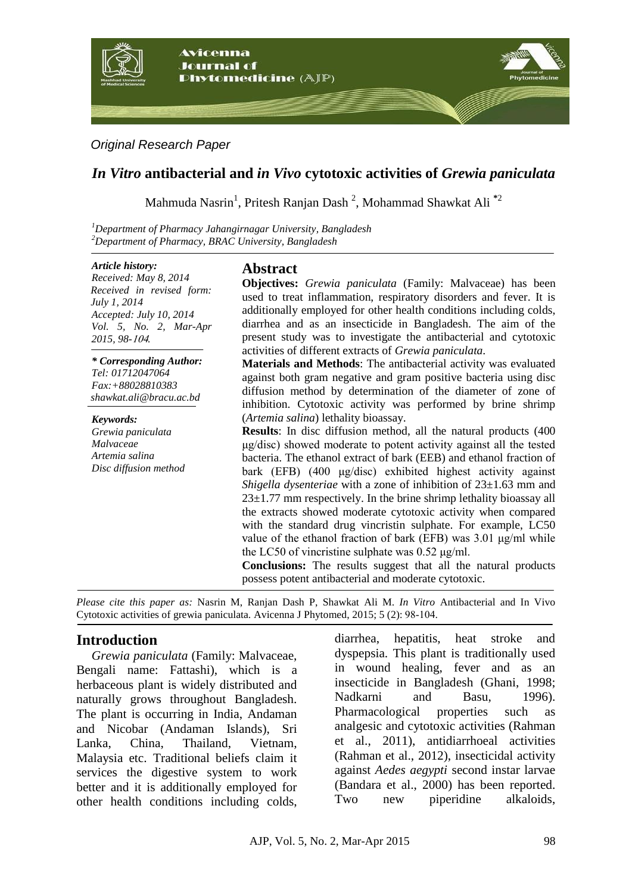

### *Original Research Paper*

# *In Vitro* **antibacterial and** *in Vivo* **cytotoxic activities of** *Grewia paniculata*

Mahmuda Nasrin<sup>1</sup> , Pritesh Ranjan Dash <sup>2</sup> , Mohammad Shawkat Ali **\***<sup>2</sup>

*<sup>1</sup>Department of Pharmacy Jahangirnagar University, Bangladesh <sup>2</sup>Department of Pharmacy, BRAC University, Bangladesh*

#### *Article history:*

*Received: May 8, 2014 Received in revised form: July 1, 2014 Accepted: July 10, 2014 Vol. 5, No. 2, Mar-Apr 2015, 98-*401*.*

*\* Corresponding Author: Tel: 01712047064 Fax:+88028810383 shawkat.al[i@b](https://mail.google.com/mail/h/g9sojm5e1hbn/?&v=b&cs=wh&to=z.dadgar67@gmail.com)racu.ac.bd*

*Keywords: Grewia paniculata Malvaceae Artemia salina Disc diffusion method*

# **Abstract**

**Objectives:** *Grewia paniculata* (Family: Malvaceae) has been used to treat inflammation, respiratory disorders and fever. It is additionally employed for other health conditions including colds, diarrhea and as an insecticide in Bangladesh. The aim of the present study was to investigate the antibacterial and cytotoxic activities of different extracts of *Grewia paniculata*.

**Materials and Methods**: The antibacterial activity was evaluated against both gram negative and gram positive bacteria using disc diffusion method by determination of the diameter of zone of inhibition. Cytotoxic activity was performed by brine shrimp (*Artemia salina*) lethality bioassay.

**Results**: In disc diffusion method, all the natural products (400 μg/disc) showed moderate to potent activity against all the tested bacteria. The ethanol extract of bark (EEB) and ethanol fraction of bark (EFB) (400 μg/disc) exhibited highest activity against *Shigella dysenteriae* with a zone of inhibition of 23±1.63 mm and  $23\pm1.77$  mm respectively. In the brine shrimp lethality bioassay all the extracts showed moderate cytotoxic activity when compared with the standard drug vincristin sulphate. For example, LC50 value of the ethanol fraction of bark (EFB) was 3.01 μg/ml while the LC50 of vincristine sulphate was 0.52 μg/ml.

**Conclusions:** The results suggest that all the natural products possess potent antibacterial and moderate cytotoxic.

*Please cite this paper as:* Nasrin M, Ranjan Dash P, Shawkat Ali M. *In Vitro* Antibacterial and In Vivo Cytotoxic activities of grewia paniculata. Avicenna J Phytomed, 2015; 5 (2): 89-401.

# **Introduction**

*Grewia paniculata* (Family: Malvaceae, Bengali name: Fattashi), which is a herbaceous plant is widely distributed and naturally grows throughout Bangladesh. The plant is occurring in India, Andaman and Nicobar (Andaman Islands), Sri Lanka, China, Thailand, Vietnam, Malaysia etc. Traditional beliefs claim it services the digestive system to work better and it is additionally employed for other health conditions including colds, diarrhea, hepatitis, heat stroke and dyspepsia. This plant is traditionally used in wound healing, fever and as an insecticide in Bangladesh (Ghani, 1998; Nadkarni and Basu, 1996). Pharmacological properties such as analgesic and cytotoxic activities (Rahman et al., 2011), antidiarrhoeal activities (Rahman et al., 2012), insecticidal activity against *Aedes aegypti* second instar larvae (Bandara et al., 2000) has been reported. Two new piperidine alkaloids,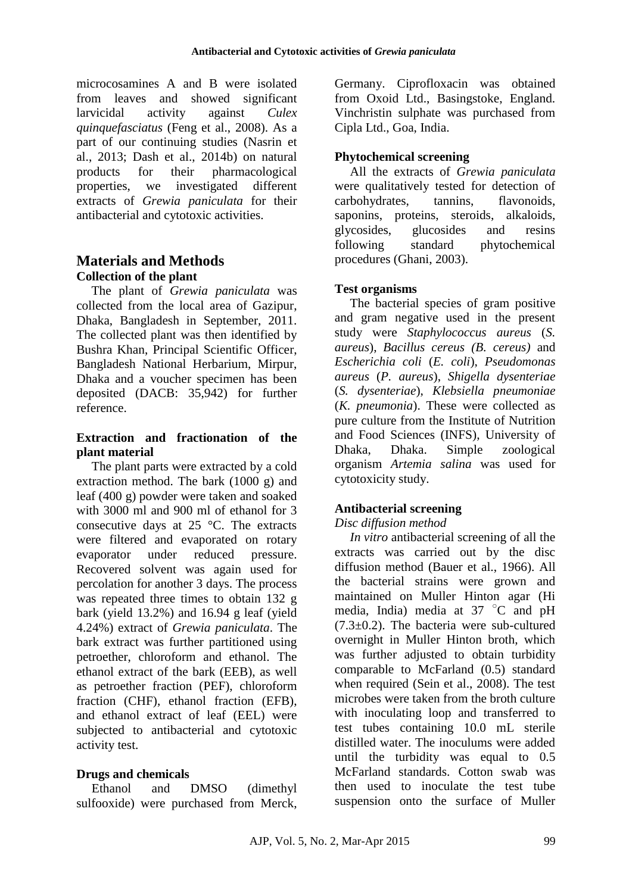microcosamines A and B were isolated from leaves and showed significant larvicidal activity against *Culex quinquefasciatus* (Feng et al., 2008). As a part of our continuing studies (Nasrin et al., 2013; Dash et al., 2014b) on natural products for their pharmacological properties, we investigated different extracts of *Grewia paniculata* for their antibacterial and cytotoxic activities.

## **Materials and Methods Collection of the plant**

The plant of *Grewia paniculata* was collected from the local area of Gazipur, Dhaka, Bangladesh in September, 2011. The collected plant was then identified by Bushra Khan, Principal Scientific Officer, Bangladesh National Herbarium, Mirpur, Dhaka and a voucher specimen has been deposited (DACB: 35,942) for further reference.

## **Extraction and fractionation of the plant material**

The plant parts were extracted by a cold extraction method. The bark (1000 g) and leaf (400 g) powder were taken and soaked with 3000 ml and 900 ml of ethanol for 3 consecutive days at 25 °C. The extracts were filtered and evaporated on rotary evaporator under reduced pressure. Recovered solvent was again used for percolation for another 3 days. The process was repeated three times to obtain 132 g bark (yield 13.2%) and 16.94 g leaf (yield 4.24%) extract of *Grewia paniculata*. The bark extract was further partitioned using petroether, chloroform and ethanol. The ethanol extract of the bark (EEB), as well as petroether fraction (PEF), chloroform fraction (CHF), ethanol fraction (EFB), and ethanol extract of leaf (EEL) were subjected to antibacterial and cytotoxic activity test.

# **Drugs and chemicals**

Ethanol and DMSO (dimethyl sulfooxide) were purchased from Merck, Germany. Ciprofloxacin was obtained from Oxoid Ltd., Basingstoke, England. Vinchristin sulphate was purchased from Cipla Ltd., Goa, India.

# **Phytochemical screening**

All the extracts of *Grewia paniculata* were qualitatively tested for detection of carbohydrates, tannins, flavonoids, saponins, proteins, steroids, alkaloids, glycosides, glucosides and resins following standard phytochemical procedures (Ghani, 2003).

## **Test organisms**

The bacterial species of gram positive and gram negative used in the present study were *Staphylococcus aureus* (*S. aureus*), *Bacillus cereus (B. cereus)* and *Escherichia coli* (*E. coli*), *Pseudomonas aureus* (*P. aureus*), *Shigella dysenteriae* (*S. dysenteriae*), *Klebsiella pneumoniae* (*K. pneumonia*). These were collected as pure culture from the Institute of Nutrition and Food Sciences (INFS), University of Dhaka, Dhaka. Simple zoological organism *Artemia salina* was used for cytotoxicity study.

## **Antibacterial screening**

## *Disc diffusion method*

*In vitro* antibacterial screening of all the extracts was carried out by the disc diffusion method (Bauer et al., 1966). All the bacterial strains were grown and maintained on Muller Hinton agar (Hi media, India) media at  $37^{\circ}$ C and pH  $(7.3\pm0.2)$ . The bacteria were sub-cultured overnight in Muller Hinton broth, which was further adjusted to obtain turbidity comparable to McFarland (0.5) standard when required (Sein et al., 2008). The test microbes were taken from the broth culture with inoculating loop and transferred to test tubes containing 10.0 mL sterile distilled water. The inoculums were added until the turbidity was equal to 0.5 McFarland standards. Cotton swab was then used to inoculate the test tube suspension onto the surface of Muller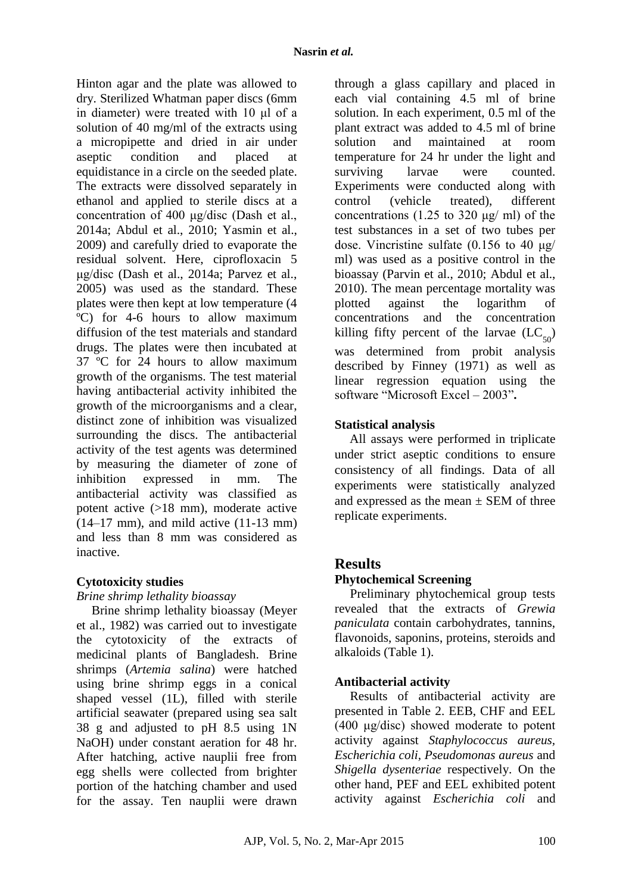Hinton agar and the plate was allowed to dry. Sterilized Whatman paper discs (6mm in diameter) were treated with 10 μl of a solution of 40 mg/ml of the extracts using a micropipette and dried in air under aseptic condition and placed at equidistance in a circle on the seeded plate. The extracts were dissolved separately in ethanol and applied to sterile discs at a concentration of 400 μg/disc (Dash et al., 2014a; Abdul et al., 2010; Yasmin et al., 2009) and carefully dried to evaporate the residual solvent. Here, ciprofloxacin 5 μg/disc (Dash et al., 2014a; Parvez et al., 2005) was used as the standard. These plates were then kept at low temperature (4 ºC) for 4-6 hours to allow maximum diffusion of the test materials and standard drugs. The plates were then incubated at 37 ºC for 24 hours to allow maximum growth of the organisms. The test material having antibacterial activity inhibited the growth of the microorganisms and a clear, distinct zone of inhibition was visualized surrounding the discs. The antibacterial activity of the test agents was determined by measuring the diameter of zone of inhibition expressed in mm. The antibacterial activity was classified as potent active (>18 mm), moderate active (14–17 mm), and mild active (11-13 mm) and less than 8 mm was considered as inactive.

### **Cytotoxicity studies**

### *Brine shrimp lethality bioassay*

Brine shrimp lethality bioassay (Meyer et al., 1982) was carried out to investigate the cytotoxicity of the extracts of medicinal plants of Bangladesh. Brine shrimps (*Artemia salina*) were hatched using brine shrimp eggs in a conical shaped vessel (1L), filled with sterile artificial seawater (prepared using sea salt 38 g and adjusted to pH 8.5 using 1N NaOH) under constant aeration for 48 hr. After hatching, active nauplii free from egg shells were collected from brighter portion of the hatching chamber and used for the assay. Ten nauplii were drawn

through a glass capillary and placed in each vial containing 4.5 ml of brine solution. In each experiment, 0.5 ml of the plant extract was added to 4.5 ml of brine solution and maintained at room temperature for 24 hr under the light and surviving larvae were counted. Experiments were conducted along with control (vehicle treated), different concentrations (1.25 to 320  $\mu$ g/ ml) of the test substances in a set of two tubes per dose. Vincristine sulfate (0.156 to 40 μg/ ml) was used as a positive control in the bioassay (Parvin et al., 2010; Abdul et al., 2010). The mean percentage mortality was plotted against the logarithm of concentrations and the concentration killing fifty percent of the larvae  $(LC_{50})$ was determined from probit analysis described by Finney (1971) as well as linear regression equation using the software "Microsoft Excel – 2003"**.** 

## **Statistical analysis**

All assays were performed in triplicate under strict aseptic conditions to ensure consistency of all findings. Data of all experiments were statistically analyzed and expressed as the mean  $\pm$  SEM of three replicate experiments.

## **Results**

## **Phytochemical Screening**

Preliminary phytochemical group tests revealed that the extracts of *Grewia paniculata* contain carbohydrates, tannins, flavonoids, saponins, proteins, steroids and alkaloids (Table 1).

## **Antibacterial activity**

Results of antibacterial activity are presented in Table 2. EEB, CHF and EEL (400 μg/disc) showed moderate to potent activity against *Staphylococcus aureus, Escherichia coli, Pseudomonas aureus* and *Shigella dysenteriae* respectively. On the other hand, PEF and EEL exhibited potent activity against *Escherichia coli* and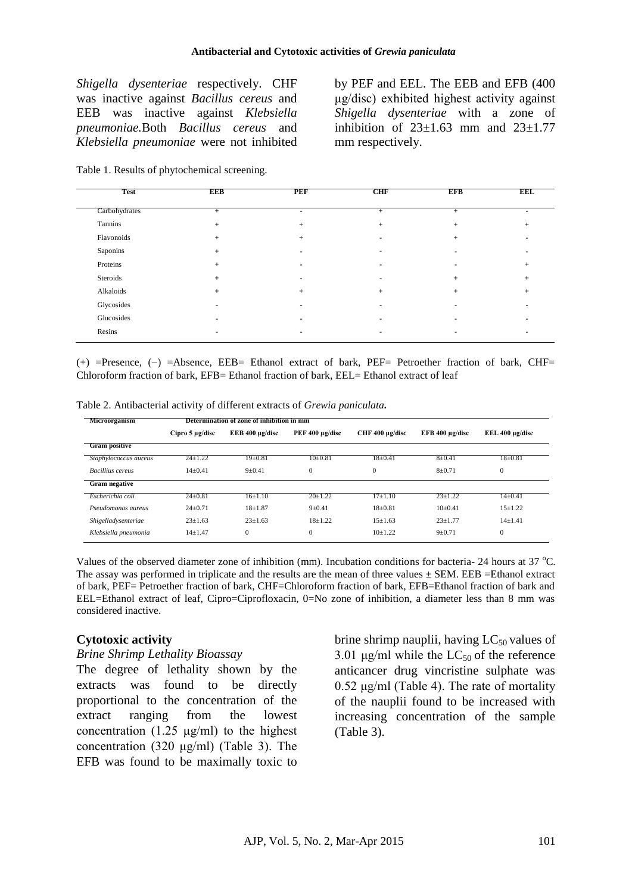*Shigella dysenteriae* respectively. CHF was inactive against *Bacillus cereus* and EEB was inactive against *Klebsiella pneumoniae.*Both *Bacillus cereus* and *Klebsiella pneumoniae* were not inhibited

by PEF and EEL. The EEB and EFB (400 μg/disc) exhibited highest activity against *Shigella dysenteriae* with a zone of inhibition of  $23\pm1.63$  mm and  $23\pm1.77$ mm respectively.

|  |  | Table 1. Results of phytochemical screening. |  |
|--|--|----------------------------------------------|--|
|--|--|----------------------------------------------|--|

| <b>Test</b>   | <b>EEB</b> | <b>PEF</b> | <b>CHF</b> | <b>EFB</b> | <b>EEL</b> |
|---------------|------------|------------|------------|------------|------------|
| Carbohydrates | $+$        | ٠          | $+$        | $+$        | ۰          |
| Tannins       | $\ddot{}$  | $\pmb{+}$  | $^{+}$     |            |            |
| Flavonoids    | +          | +          |            |            |            |
| Saponins      | $+$        |            |            |            |            |
| Proteins      |            |            |            |            |            |
| Steroids      | ÷          |            |            |            |            |
| Alkaloids     |            | $\ddot{}$  | $\ddot{}$  |            |            |
| Glycosides    |            |            |            |            |            |
| Glucosides    |            |            |            |            |            |
| Resins        |            |            |            |            |            |

 $(+)$  =Presence,  $(-)$  =Absence, EEB= Ethanol extract of bark, PEF= Petroether fraction of bark, CHF= Chloroform fraction of bark, EFB= Ethanol fraction of bark, EEL= Ethanol extract of leaf

| Microorganism           |                      | Determination of zone of inhibition in mm |                 |                      |                      |                      |
|-------------------------|----------------------|-------------------------------------------|-----------------|----------------------|----------------------|----------------------|
|                         | Cipro $5 \mu g/disc$ | EEB 400 $\mu$ g/disc                      | PEF 400 µg/disc | CHF $400 \mu g/disc$ | EFB 400 $\mu$ g/disc | EEL $400 \mu$ g/disc |
| <b>Gram positive</b>    |                      |                                           |                 |                      |                      |                      |
| Staphylococcus aureus   | $24 \pm 1.22$        | $19 \pm 0.81$                             | $10\pm0.81$     | $18 \pm 0.41$        | $8 \pm 0.41$         | $18 \pm 0.81$        |
| <b>Bacillius</b> cereus | $14+0.41$            | $9 + 0.41$                                | $\Omega$        | $\overline{0}$       | $8 + 0.71$           | $\mathbf{0}$         |
| <b>Gram negative</b>    |                      |                                           |                 |                      |                      |                      |
| Escherichia coli        | $24 \pm 0.81$        | 16±1.10                                   | $20 \pm 1.22$   | $17\pm1.10$          | $23 \pm 1.22$        | $14\pm0.41$          |
| Pseudomonas aureus      | $24 \pm 0.71$        | $18 + 1.87$                               | $9 \pm 0.41$    | $18 \pm 0.81$        | $10+0.41$            | $15 \pm 1.22$        |
| Shigelladysenteriae     | $23 \pm 1.63$        | $23 \pm 1.63$                             | $18+1.22$       | $15 \pm 1.63$        | $23 + 1.77$          | $14 \pm 1.41$        |
| Klebsiella pneumonia    | $14 \pm 1.47$        | $\mathbf{0}$                              | $\mathbf{0}$    | $10+1.22$            | $9 \pm 0.71$         | $\mathbf{0}$         |

Table 2. Antibacterial activity of different extracts of *Grewia paniculata.*

Values of the observed diameter zone of inhibition (mm). Incubation conditions for bacteria- 24 hours at  $37^{\circ}$ C. The assay was performed in triplicate and the results are the mean of three values  $\pm$  SEM. EEB =Ethanol extract of bark, PEF= Petroether fraction of bark, CHF=Chloroform fraction of bark, EFB=Ethanol fraction of bark and EEL=Ethanol extract of leaf, Cipro=Ciprofloxacin, 0=No zone of inhibition, a diameter less than 8 mm was considered inactive.

### **Cytotoxic activity**

### *Brine Shrimp Lethality Bioassay*

The degree of lethality shown by the extracts was found to be directly proportional to the concentration of the extract ranging from the lowest concentration (1.25  $\mu$ g/ml) to the highest concentration (320 μg/ml) (Table 3). The EFB was found to be maximally toxic to

brine shrimp nauplii, having  $LC_{50}$  values of 3.01  $\mu$ g/ml while the LC<sub>50</sub> of the reference anticancer drug vincristine sulphate was 0.52 μg/ml (Table 4). The rate of mortality of the nauplii found to be increased with increasing concentration of the sample (Table 3).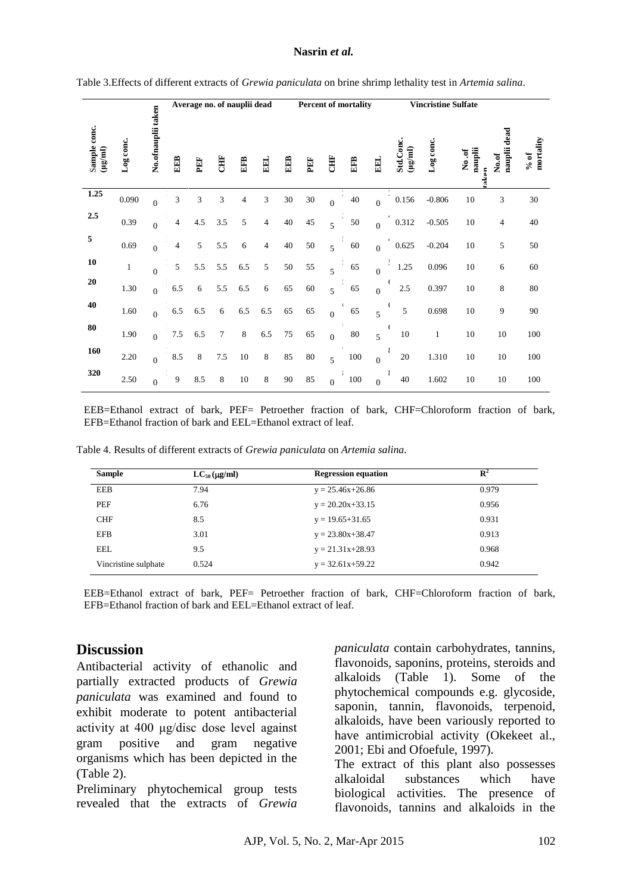#### **Nasrin** *et al.*

|                             |              |                    |     | Average no. of nauplii dead |        |        |     | <b>Percent of mortality</b> |        |                |     | <b>Vincristine Sulfate</b> |                                            |           |                          |                          |                      |
|-----------------------------|--------------|--------------------|-----|-----------------------------|--------|--------|-----|-----------------------------|--------|----------------|-----|----------------------------|--------------------------------------------|-----------|--------------------------|--------------------------|----------------------|
| Sample conc.<br>$(\mu g/m)$ | Log conc.    | No.ofnauplii taken | EEB | PEF                         | Ë      | EFB    | EEL | EEB                         | PEF    | <b>CHF</b>     | EFB | <b>EEL</b>                 | Std.Conc.<br>$(\mu \mathrm{g}/\mathrm{m})$ | Log conc. | nauplii<br>No.of<br>aken | dead<br>nauplii<br>No.of | mortality<br>$\%$ of |
| 1.25                        | 0.090        | $\theta$           | 3   | 3                           | 3      | 4      | 3   | 30                          | 30     | $\theta$       | 40  | $\theta$                   | 0.156                                      | $-0.806$  | 10                       | 3                        | 30                   |
| 2.5                         | 0.39         | $\overline{0}$     | 4   | 4.5                         | 3.5    | 5      | 4   | 40                          | 45     | 5              | 50  | $\theta$                   | 0.312                                      | $-0.505$  | 10                       | 4                        | 40                   |
| 5                           | 0.69         | $\theta$           | 4   | 5                           | 5.5    | 6      | 4   | 40                          | 50     | 5              | 60  | $\theta$                   | 0.625                                      | $-0.204$  | 10                       | 5                        | 50                   |
| 10                          | $\mathbf{1}$ | $\theta$           | 5   | 5.5                         | 5.5    | 6.5    | 5   | 50                          | 55     | 5              | 65  | $\theta$                   | 1.25                                       | 0.096     | 10                       | 6                        | 60                   |
| ${\bf 20}$                  | 1.30         | $\theta$           | 6.5 | 6                           | 5.5    | 6.5    | 6   | 65                          | 60     | 5              | 65  | $\overline{0}$             | $2.5\,$                                    | 0.397     | 10                       | 8                        | 80                   |
| 40                          | 1.60         | $\theta$           | 6.5 | 6.5                         | 6      | 6.5    | 6.5 | 65                          | 65     | $\theta$       | 65  | 5                          | 5                                          | 0.698     | 10                       | 9                        | 90                   |
| 80                          | 1.90         | $\overline{0}$     | 7.5 | 6.5                         | $\tau$ | 8      | 6.5 | 75                          | 65     | $\overline{0}$ | 80  | 5                          | 10                                         | 1         | 10                       | 10                       | 100                  |
| 160                         | 2.20         | $\overline{0}$     | 8.5 | 8                           | 7.5    | $10\,$ | 8   | 85                          | $80\,$ | 5              | 100 | $\overline{0}$             | 20                                         | 1.310     | 10                       | 10                       | 100                  |
| 320                         | 2.50         | $\theta$           | 9   | 8.5                         | 8      | 10     | 8   | 90                          | 85     | $\overline{0}$ | 100 | $\theta$                   | 40                                         | 1.602     | 10                       | 10                       | 100                  |

Table 3.Effects of different extracts of *Grewia paniculata* on brine shrimp lethality test in *Artemia salina*.

EEB=Ethanol extract of bark, PEF= Petroether fraction of bark, CHF=Chloroform fraction of bark, EFB=Ethanol fraction of bark and EEL=Ethanol extract of leaf.

| <b>Sample</b>        | $LC_{50}$ (µg/ml) | <b>Regression equation</b> | $\mathbf{R}^2$ |
|----------------------|-------------------|----------------------------|----------------|
| <b>EEB</b>           | 7.94              | $y = 25.46x + 26.86$       | 0.979          |
| PEF                  | 6.76              | $y = 20.20x + 33.15$       | 0.956          |
| <b>CHF</b>           | 8.5               | $y = 19.65 + 31.65$        | 0.931          |
| <b>EFB</b>           | 3.01              | $y = 23.80x + 38.47$       | 0.913          |
| EEL                  | 9.5               | $y = 21.31x + 28.93$       | 0.968          |
| Vincristine sulphate | 0.524             | $y = 32.61x+59.22$         | 0.942          |

Table 4. Results of different extracts of *Grewia paniculata* on *Artemia salina.*

EEB=Ethanol extract of bark, PEF= Petroether fraction of bark, CHF=Chloroform fraction of bark, EFB=Ethanol fraction of bark and EEL=Ethanol extract of leaf.

## **Discussion**

Antibacterial activity of ethanolic and partially extracted products of *Grewia paniculata* was examined and found to exhibit moderate to potent antibacterial activity at 400 μg/disc dose level against gram positive and gram negative organisms which has been depicted in the (Table 2).

Preliminary phytochemical group tests revealed that the extracts of *Grewia* *paniculata* contain carbohydrates, tannins, flavonoids, saponins, proteins, steroids and alkaloids (Table 1). Some of the phytochemical compounds e.g. glycoside, saponin, tannin, flavonoids, terpenoid, alkaloids, have been variously reported to have antimicrobial activity (Okekeet al., 2001; Ebi and Ofoefule, 1997).

The extract of this plant also possesses alkaloidal substances which have biological activities. The presence of flavonoids, tannins and alkaloids in the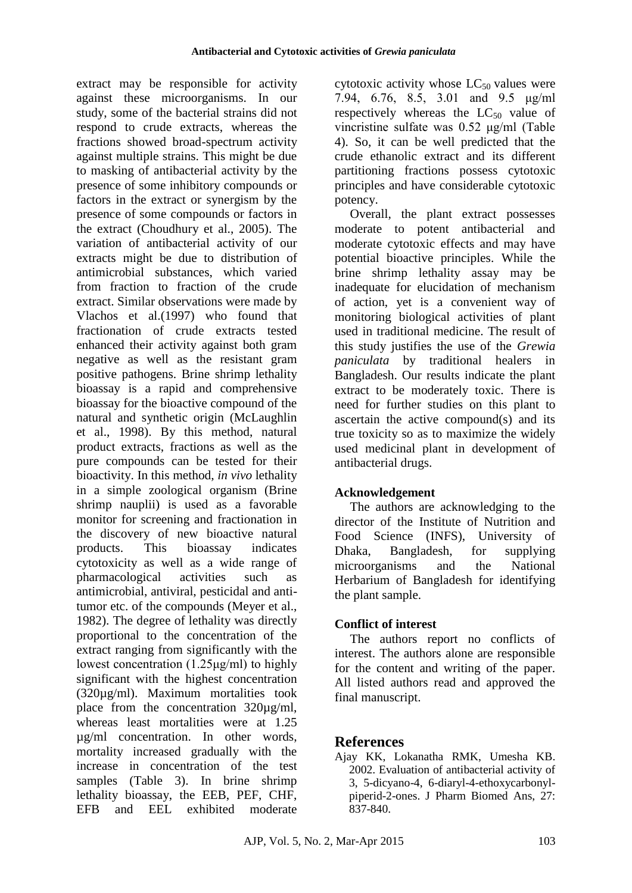extract may be responsible for activity against these microorganisms. In our study, some of the bacterial strains did not respond to crude extracts, whereas the fractions showed broad-spectrum activity against multiple strains. This might be due to masking of antibacterial activity by the presence of some inhibitory compounds or factors in the extract or synergism by the presence of some compounds or factors in the extract (Choudhury et al., 2005). The variation of antibacterial activity of our extracts might be due to distribution of antimicrobial substances, which varied from fraction to fraction of the crude extract. Similar observations were made by Vlachos et al.(1997) who found that fractionation of crude extracts tested enhanced their activity against both gram negative as well as the resistant gram positive pathogens. Brine shrimp lethality bioassay is a rapid and comprehensive bioassay for the bioactive compound of the natural and synthetic origin (McLaughlin et al., 1998). By this method, natural product extracts, fractions as well as the pure compounds can be tested for their bioactivity. In this method, *in vivo* lethality in a simple zoological organism (Brine shrimp nauplii) is used as a favorable monitor for screening and fractionation in the discovery of new bioactive natural products. This bioassay indicates cytotoxicity as well as a wide range of pharmacological activities such as antimicrobial, antiviral, pesticidal and antitumor etc. of the compounds (Meyer et al., 1982). The degree of lethality was directly proportional to the concentration of the extract ranging from significantly with the lowest concentration (1.25μg/ml) to highly significant with the highest concentration (320µg/ml). Maximum mortalities took place from the concentration 320µg/ml, whereas least mortalities were at 1.25 µg/ml concentration. In other words, mortality increased gradually with the increase in concentration of the test samples (Table 3). In brine shrimp lethality bioassay, the EEB, PEF, CHF, EFB and EEL exhibited moderate cytotoxic activity whose  $LC_{50}$  values were 7.94, 6.76, 8.5, 3.01 and 9.5 μg/ml respectively whereas the  $LC_{50}$  value of vincristine sulfate was 0.52 μg/ml (Table 4). So, it can be well predicted that the crude ethanolic extract and its different partitioning fractions possess cytotoxic principles and have considerable cytotoxic potency.

Overall, the plant extract possesses moderate to potent antibacterial and moderate cytotoxic effects and may have potential bioactive principles. While the brine shrimp lethality assay may be inadequate for elucidation of mechanism of action, yet is a convenient way of monitoring biological activities of plant used in traditional medicine. The result of this study justifies the use of the *Grewia paniculata* by traditional healers in Bangladesh. Our results indicate the plant extract to be moderately toxic. There is need for further studies on this plant to ascertain the active compound(s) and its true toxicity so as to maximize the widely used medicinal plant in development of antibacterial drugs.

## **Acknowledgement**

The authors are acknowledging to the director of the Institute of Nutrition and Food Science (INFS), University of Dhaka, Bangladesh, for supplying microorganisms and the National Herbarium of Bangladesh for identifying the plant sample.

## **Conflict of interest**

The authors report no conflicts of interest. The authors alone are responsible for the content and writing of the paper. All listed authors read and approved the final manuscript.

# **References**

Ajay KK, Lokanatha RMK, Umesha KB. 2002. Evaluation of antibacterial activity of 3, 5-dicyano-4, 6-diaryl-4-ethoxycarbonylpiperid-2-ones. J Pharm Biomed Ans, 27: 837-840.